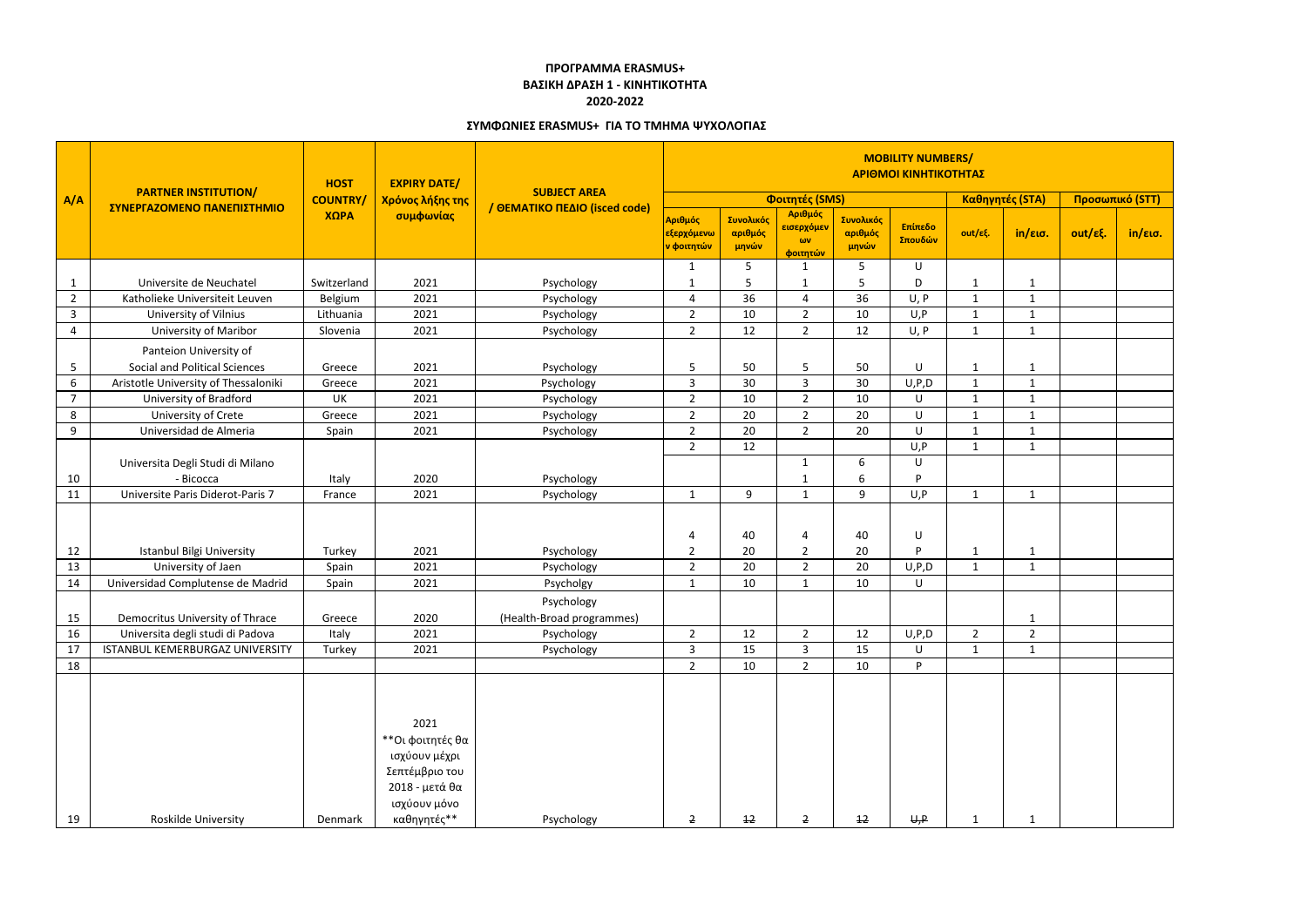|                | <b>PARTNER INSTITUTION/</b><br>ΣΥΝΕΡΓΑΖΟΜΕΝΟ ΠΑΝΕΠΙΣΤΗΜΙΟ | <b>HOST</b>     | <b>EXPIRY DATE/</b><br>Χρόνος λήξης της<br>συμφωνίας                                                         | <b>SUBJECT AREA</b><br>/ ΘΕΜΑΤΙΚΟ ΠΕΔΙΟ (isced code) | <b>MOBILITY NUMBERS/</b><br>ΑΡΙΘΜΟΙ ΚΙΝΗΤΙΚΟΤΗΤΑΣ             |                               |                                                 |                               |                    |                |                 |                     |         |
|----------------|-----------------------------------------------------------|-----------------|--------------------------------------------------------------------------------------------------------------|------------------------------------------------------|---------------------------------------------------------------|-------------------------------|-------------------------------------------------|-------------------------------|--------------------|----------------|-----------------|---------------------|---------|
| A/A            |                                                           | <b>COUNTRY/</b> |                                                                                                              |                                                      | Φοιτητές (SMS)                                                |                               |                                                 |                               |                    |                | Καθηγητές (STA) | Προσωπικό (STT)     |         |
|                |                                                           | ΧΩΡΑ            |                                                                                                              |                                                      | Αριθμός<br><mark>εξερχόμενω</mark><br><mark>ν φοιτητών</mark> | Συνολικός<br>αριθμός<br>μηνών | Αριθμός<br>εισερχόμεν<br>$\omega$ v<br>φοιτητών | Συνολικός<br>αριθμός<br>μηνών | Επίπεδο<br>Σπουδών | out/εξ.        | in/εισ.         | $out/\epsilon\xi$ . | in/εισ. |
|                |                                                           |                 |                                                                                                              |                                                      | 1                                                             | 5                             | $\mathbf{1}$                                    | 5                             | U                  |                |                 |                     |         |
| $\mathbf{1}$   | Universite de Neuchatel                                   | Switzerland     | 2021                                                                                                         | Psychology                                           |                                                               | -5                            | $\mathbf 1$                                     | 5                             | D                  | 1              | $\mathbf{1}$    |                     |         |
| $\overline{2}$ | Katholieke Universiteit Leuven                            | Belgium         | 2021                                                                                                         | Psychology                                           | 4                                                             | 36                            | 4                                               | 36                            | U, P               | $\mathbf{1}$   | $\mathbf{1}$    |                     |         |
| $\mathbf{3}$   | University of Vilnius                                     | Lithuania       | 2021                                                                                                         | Psychology                                           | $\overline{2}$                                                | 10                            | $\overline{2}$                                  | 10                            | U, P               | $\mathbf{1}$   | $\mathbf{1}$    |                     |         |
| 4              | <b>University of Maribor</b>                              | Slovenia        | 2021                                                                                                         | Psychology                                           | $\overline{2}$                                                | 12                            | $\overline{2}$                                  | 12                            | U, P               | $\mathbf{1}$   | $\mathbf{1}$    |                     |         |
|                | Panteion University of                                    |                 |                                                                                                              |                                                      |                                                               |                               |                                                 |                               |                    |                |                 |                     |         |
| 5              | <b>Social and Political Sciences</b>                      | Greece          | 2021                                                                                                         | Psychology                                           | 5                                                             | 50                            | 5                                               | 50                            | U                  | $\mathbf{1}$   | $\mathbf{1}$    |                     |         |
| 6              | Aristotle University of Thessaloniki                      | Greece          | 2021                                                                                                         | Psychology                                           | 3                                                             | 30                            | $\overline{3}$                                  | 30                            | U, P, D            | $\mathbf 1$    | $\mathbf{1}$    |                     |         |
| $\overline{7}$ | University of Bradford                                    | UK              | 2021                                                                                                         | Psychology                                           | $\overline{2}$                                                | 10                            | $\overline{2}$                                  | 10                            | U                  | $\mathbf{1}$   | $\mathbf{1}$    |                     |         |
| 8              | University of Crete                                       | Greece          | 2021                                                                                                         | Psychology                                           | $\overline{2}$                                                | 20                            | $\overline{2}$                                  | 20                            | U                  | $\mathbf{1}$   | $\mathbf{1}$    |                     |         |
| 9              | Universidad de Almeria                                    | Spain           | 2021                                                                                                         | Psychology                                           | $\overline{2}$                                                | 20                            | $\overline{2}$                                  | 20                            | U                  | $\mathbf{1}$   | $\mathbf{1}$    |                     |         |
|                |                                                           |                 |                                                                                                              |                                                      | $\overline{2}$                                                | 12                            |                                                 |                               | U, P               | $\mathbf 1$    | $\mathbf{1}$    |                     |         |
|                | Universita Degli Studi di Milano                          |                 |                                                                                                              |                                                      |                                                               |                               | 1                                               | 6                             | U                  |                |                 |                     |         |
| 10             | - Bicocca                                                 | Italy           | 2020                                                                                                         | Psychology                                           |                                                               |                               | 1                                               | 6                             |                    |                |                 |                     |         |
| 11             | Universite Paris Diderot-Paris 7                          | France          | 2021                                                                                                         | Psychology                                           | $\mathbf{1}$                                                  | 9                             | $\mathbf{1}$                                    | 9                             | U, P               | $\mathbf{1}$   | $\mathbf{1}$    |                     |         |
|                |                                                           |                 |                                                                                                              |                                                      |                                                               |                               |                                                 |                               |                    |                |                 |                     |         |
|                |                                                           |                 |                                                                                                              |                                                      | 4                                                             | 40                            | 4                                               | 40                            | U                  |                |                 |                     |         |
| 12             | <b>Istanbul Bilgi University</b>                          | Turkey          | 2021                                                                                                         | Psychology                                           | $\overline{2}$                                                | 20                            | $\overline{2}$                                  | 20                            | D                  | 1              | $\mathbf{1}$    |                     |         |
| 13             | University of Jaen                                        | Spain           | 2021                                                                                                         | Psychology                                           | $\overline{2}$                                                | 20                            | $\overline{2}$                                  | 20                            | U, P, D            | $\mathbf{1}$   | $\mathbf{1}$    |                     |         |
| 14             | Universidad Complutense de Madrid                         | Spain           | 2021                                                                                                         | Psycholgy                                            | $\mathbf 1$                                                   | 10                            | $\mathbf{1}$                                    | 10                            | U                  |                |                 |                     |         |
|                |                                                           |                 |                                                                                                              | Psychology                                           |                                                               |                               |                                                 |                               |                    |                |                 |                     |         |
| 15             | Democritus University of Thrace                           | Greece          | 2020                                                                                                         | (Health-Broad programmes)                            |                                                               |                               |                                                 |                               |                    |                | $\mathbf{1}$    |                     |         |
| 16             | Universita degli studi di Padova                          | Italy           | 2021                                                                                                         | Psychology                                           | $\overline{2}$                                                | 12                            | $\overline{2}$                                  | 12                            | U, P, D            | $\overline{2}$ | $\overline{2}$  |                     |         |
| 17             | ISTANBUL KEMERBURGAZ UNIVERSITY                           | Turkey          | 2021                                                                                                         | Psychology                                           | 3                                                             | 15                            | $\overline{3}$                                  | 15                            | U                  | $\mathbf{1}$   | $\mathbf{1}$    |                     |         |
| 18             |                                                           |                 |                                                                                                              |                                                      | $\overline{2}$                                                | 10                            | $\overline{2}$                                  | 10                            | P.                 |                |                 |                     |         |
| 19             | Roskilde University                                       | Denmark         | 2021<br>**Οι φοιτητές θα<br>ισχύουν μέχρι<br>Σεπτέμβριο του<br>2018 - μετά θα<br>ισχύουν μόνο<br>καθηγητές** | Psychology                                           | $\overline{2}$                                                | 12                            | $\overline{2}$                                  | 12                            | H, P               | 1              | $\mathbf{1}$    |                     |         |

## **ΠΡΟΓΡΑΜΜΑ ERASMUS+ ΒΑΣΙΚΗ ΔΡΑΣΗ 1 - ΚΙΝΗΤΙΚΟΤΗΤΑ 2020-2022**

## **ΣΥΜΦΩΝΙΕΣ ERASMUS+ ΓΙΑ ΤΟ ΤΜΗΜΑ ΨΥΧΟΛΟΓΙΑΣ**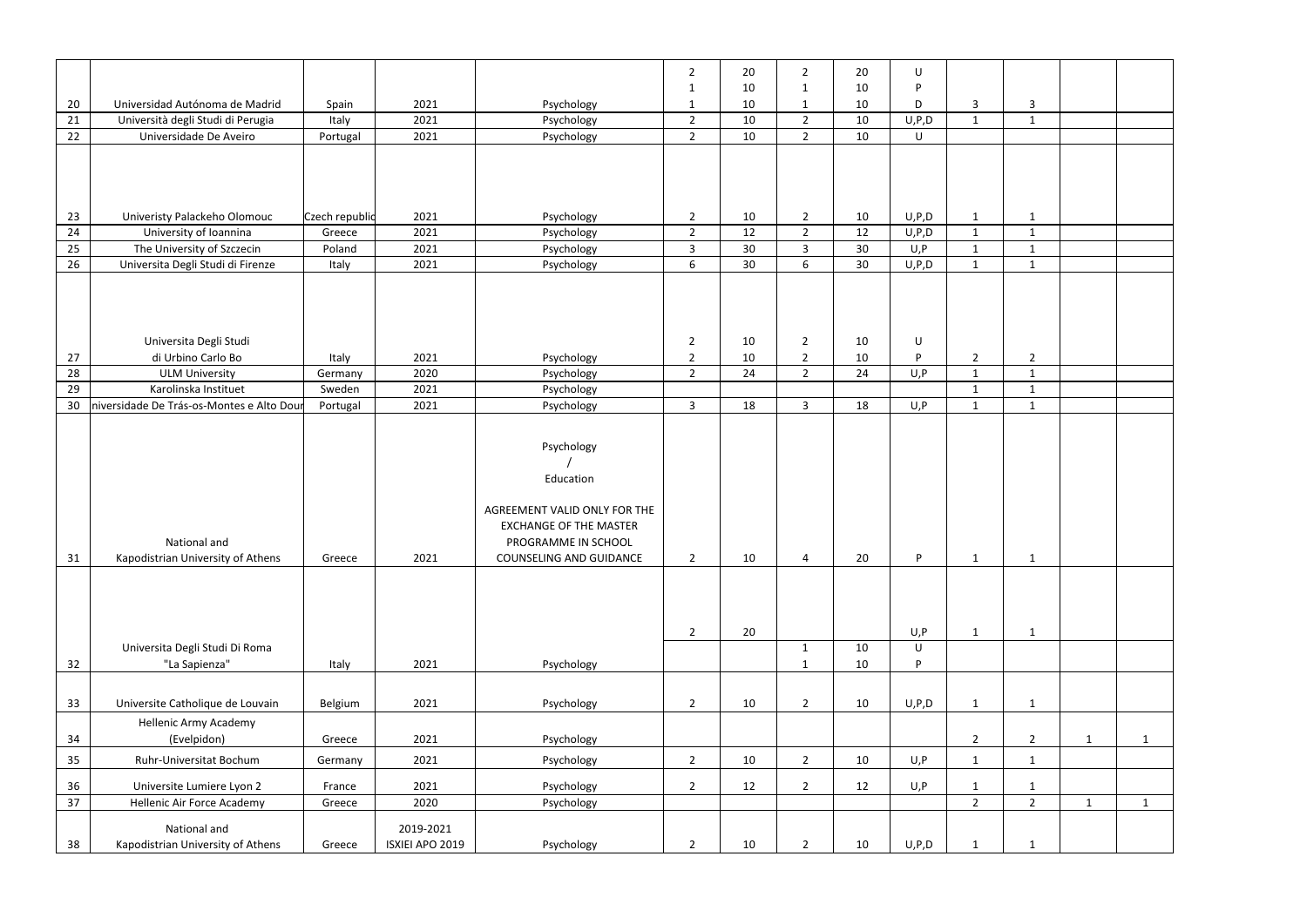|                 |                                                   |                |                              |                                                                                                                                                   | $\overline{2}$                   | 20       | $\overline{2}$                   | 20       | U               |                |                |              |              |
|-----------------|---------------------------------------------------|----------------|------------------------------|---------------------------------------------------------------------------------------------------------------------------------------------------|----------------------------------|----------|----------------------------------|----------|-----------------|----------------|----------------|--------------|--------------|
| 20              | Universidad Autónoma de Madrid                    | Spain          | 2021                         | Psychology                                                                                                                                        | $\mathbf 1$<br>-1                | 10<br>10 | $\mathbf{1}$<br>$\mathbf{1}$     | 10<br>10 | D<br>D          | 3              | 3              |              |              |
| 21              | Università degli Studi di Perugia                 | Italy          | 2021                         | Psychology                                                                                                                                        | $\overline{2}$                   | 10       | $\overline{2}$                   | 10       | U, P, D         | $\mathbf{1}$   | $\mathbf{1}$   |              |              |
| 22              | Universidade De Aveiro                            | Portugal       | 2021                         | Psychology                                                                                                                                        | $\overline{2}$                   | 10       | $\overline{2}$                   | 10       | U               |                |                |              |              |
|                 |                                                   |                |                              |                                                                                                                                                   |                                  |          |                                  |          |                 |                |                |              |              |
|                 |                                                   |                |                              |                                                                                                                                                   |                                  |          |                                  |          |                 |                |                |              |              |
|                 |                                                   |                |                              |                                                                                                                                                   |                                  |          |                                  |          |                 |                |                |              |              |
| 23              | Univeristy Palackeho Olomouc                      | Czech republic | 2021                         | Psychology                                                                                                                                        | $\overline{2}$                   | 10       | $\overline{2}$                   | 10       | U, P, D         | $\mathbf{1}$   | $\mathbf{1}$   |              |              |
| 24              | University of Ioannina                            | Greece         | 2021                         | Psychology                                                                                                                                        | $\overline{2}$                   | 12       | $\overline{2}$                   | 12       | U, P, D         | $\mathbf{1}$   | $\mathbf{1}$   |              |              |
| 25              | The University of Szczecin                        | Poland         | 2021                         | Psychology                                                                                                                                        | $\overline{3}$                   | 30       | $\overline{3}$                   | 30       | U, P            | $\mathbf{1}$   | $\mathbf{1}$   |              |              |
| 26              | Universita Degli Studi di Firenze                 | Italy          | 2021                         | Psychology                                                                                                                                        | 6                                | 30       | 6                                | 30       | U, P, D         | $\mathbf{1}$   | $\mathbf{1}$   |              |              |
|                 |                                                   |                |                              |                                                                                                                                                   |                                  |          |                                  |          |                 |                |                |              |              |
| 27              | Universita Degli Studi<br>di Urbino Carlo Bo      | Italy          | 2021                         | Psychology                                                                                                                                        | $\overline{2}$<br>$\overline{2}$ | 10<br>10 | $\overline{2}$<br>$\overline{2}$ | 10<br>10 | U<br>D.         | $\overline{2}$ | $\overline{2}$ |              |              |
| 28              | <b>ULM University</b>                             | Germany        | 2020                         | Psychology                                                                                                                                        | $\overline{2}$                   | 24       | $\overline{2}$                   | 24       | U, P            | $\mathbf{1}$   | $\mathbf{1}$   |              |              |
| 29              | Karolinska Instituet                              | Sweden         | 2021                         | Psychology                                                                                                                                        |                                  |          |                                  |          |                 | $\mathbf{1}$   | $\mathbf{1}$   |              |              |
| 30              | niversidade De Trás-os-Montes e Alto Dour         | Portugal       | 2021                         | Psychology                                                                                                                                        | $\overline{3}$                   | 18       | $\overline{3}$                   | 18       | U, P            | $\mathbf{1}$   | 1              |              |              |
|                 |                                                   |                |                              |                                                                                                                                                   |                                  |          |                                  |          |                 |                |                |              |              |
| 31              | National and<br>Kapodistrian University of Athens | Greece         | 2021                         | Psychology<br>Education<br>AGREEMENT VALID ONLY FOR THE<br><b>EXCHANGE OF THE MASTER</b><br>PROGRAMME IN SCHOOL<br><b>COUNSELING AND GUIDANCE</b> | $\overline{2}$                   | 10       | 4                                | 20       | P.              | $\mathbf{1}$   | $\mathbf{1}$   |              |              |
|                 | Universita Degli Studi Di Roma                    |                |                              |                                                                                                                                                   | $\overline{2}$                   | 20       | $\mathbf{1}$                     | 10       | U, P<br>$\sf U$ | $\mathbf{1}$   | $\mathbf{1}$   |              |              |
| 32              | "La Sapienza"                                     | Italy          | 2021                         | Psychology                                                                                                                                        |                                  |          | $\mathbf{1}$                     | 10       | D               |                |                |              |              |
|                 |                                                   |                |                              |                                                                                                                                                   |                                  |          |                                  |          |                 |                |                |              |              |
| 33              | Universite Catholique de Louvain                  | Belgium        | 2021                         | Psychology                                                                                                                                        | $\overline{2}$                   | 10       | $\overline{2}$                   | 10       | U, P, D         | $\mathbf{1}$   | $\mathbf{1}$   |              |              |
|                 | <b>Hellenic Army Academy</b>                      |                |                              |                                                                                                                                                   |                                  |          |                                  |          |                 |                |                |              |              |
| 34              | (Evelpidon)                                       | Greece         | 2021                         | Psychology                                                                                                                                        |                                  |          |                                  |          |                 | $\overline{2}$ | $\overline{2}$ | $\mathbf{1}$ | $\mathbf{1}$ |
| 35              | Ruhr-Universitat Bochum                           | Germany        | 2021                         | Psychology                                                                                                                                        | $\overline{2}$                   | 10       | $\overline{2}$                   | 10       | U, P            | $\mathbf{1}$   | $\mathbf{1}$   |              |              |
| 36              | Universite Lumiere Lyon 2                         | France         | 2021                         | Psychology                                                                                                                                        | $\overline{2}$                   | 12       | $\overline{2}$                   | 12       | U, P            | -1             | $\mathbf{1}$   |              |              |
| $\overline{37}$ | Hellenic Air Force Academy                        | Greece         | 2020                         | Psychology                                                                                                                                        |                                  |          |                                  |          |                 | $\overline{2}$ | $2^{\circ}$    | $\mathbf{1}$ | $\mathbf{1}$ |
| 38              | National and<br>Kapodistrian University of Athens | Greece         | 2019-2021<br>ISXIEI APO 2019 | Psychology                                                                                                                                        | $\overline{2}$                   | 10       | $\overline{2}$                   | 10       | U, P, D         | 1              | $\mathbf{1}$   |              |              |